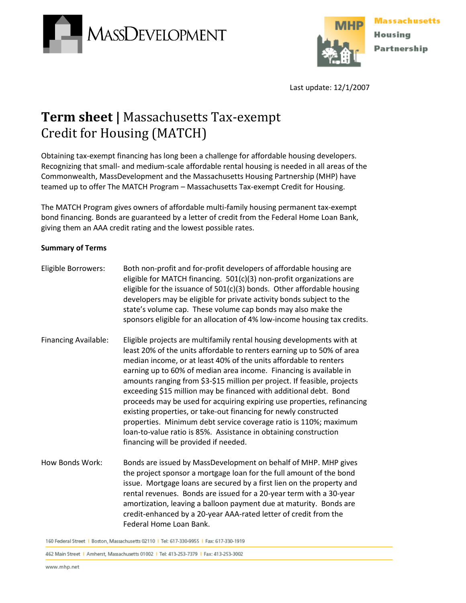



Last update: 12/1/2007

## **Term sheet |** Massachusetts Tax-exempt Credit for Housing (MATCH)

Obtaining tax-exempt financing has long been a challenge for affordable housing developers. Recognizing that small- and medium-scale affordable rental housing is needed in all areas of the Commonwealth, MassDevelopment and the Massachusetts Housing Partnership (MHP) have teamed up to offer The MATCH Program – Massachusetts Tax-exempt Credit for Housing.

The MATCH Program gives owners of affordable multi-family housing permanent tax-exempt bond financing. Bonds are guaranteed by a letter of credit from the Federal Home Loan Bank, giving them an AAA credit rating and the lowest possible rates.

## **Summary of Terms**

| Eligible Borrowers:         | Both non-profit and for-profit developers of affordable housing are<br>eligible for MATCH financing. 501(c)(3) non-profit organizations are<br>eligible for the issuance of $501(c)(3)$ bonds. Other affordable housing<br>developers may be eligible for private activity bonds subject to the<br>state's volume cap. These volume cap bonds may also make the<br>sponsors eligible for an allocation of 4% low-income housing tax credits.                                                                                                                                                                                                                                                                                                                                |
|-----------------------------|-----------------------------------------------------------------------------------------------------------------------------------------------------------------------------------------------------------------------------------------------------------------------------------------------------------------------------------------------------------------------------------------------------------------------------------------------------------------------------------------------------------------------------------------------------------------------------------------------------------------------------------------------------------------------------------------------------------------------------------------------------------------------------|
| <b>Financing Available:</b> | Eligible projects are multifamily rental housing developments with at<br>least 20% of the units affordable to renters earning up to 50% of area<br>median income, or at least 40% of the units affordable to renters<br>earning up to 60% of median area income. Financing is available in<br>amounts ranging from \$3-\$15 million per project. If feasible, projects<br>exceeding \$15 million may be financed with additional debt. Bond<br>proceeds may be used for acquiring expiring use properties, refinancing<br>existing properties, or take-out financing for newly constructed<br>properties. Minimum debt service coverage ratio is 110%; maximum<br>loan-to-value ratio is 85%. Assistance in obtaining construction<br>financing will be provided if needed. |
| How Bonds Work:             | Bonds are issued by MassDevelopment on behalf of MHP. MHP gives<br>the project sponsor a mortgage loan for the full amount of the bond<br>issue. Mortgage loans are secured by a first lien on the property and<br>rental revenues. Bonds are issued for a 20-year term with a 30-year<br>amortization, leaving a balloon payment due at maturity. Bonds are<br>credit-enhanced by a 20-year AAA-rated letter of credit from the<br>Federal Home Loan Bank.                                                                                                                                                                                                                                                                                                                 |

160 Federal Street | Boston, Massachusetts 02110 | Tel: 617-330-9955 | Fax: 617-330-1919

462 Main Street | Amherst, Massachusetts 01002 | Tel: 413-253-7379 | Fax: 413-253-3002